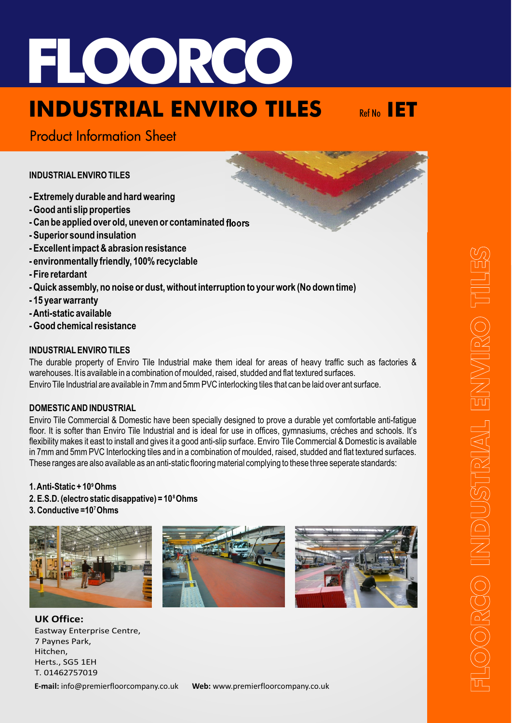

# **INDUSTRIAL ENVIRO TILES**



Product Information Sheet

**INDUSTRIAL ENVIRO TILES**

- **Extremely durable and hard wearing**
- **Good anti slip properties**
- **Can be applied over old, uneven or contaminated floors**
- **Superior sound insulation**
- **Excellent impact & abrasion resistance**
- **environmentally friendly, 100% recyclable**
- **Fire retardant**
- **Quick assembly, no noise or dust, without interruption to your work (No down time)**
- **15 year warranty**
- **Anti-static available**
- **Good chemical resistance**

### **INDUSTRIAL ENVIRO TILES**

The durable property of Enviro Tile Industrial make them ideal for areas of heavy traffic such as factories & warehouses. It is available in a combination of moulded, raised, studded and flat textured surfaces. Enviro Tile Industrial are available in 7mm and 5mm PVC interlocking tiles that can be laid over ant surface.

#### **DOMESTIC AND INDUSTRIAL**

Enviro Tile Commercial & Domestic have been specially designed to prove a durable yet comfortable anti-fatigue floor. It is softer than Enviro Tile Industrial and is ideal for use in offices, gymnasiums, créches and schools. It's flexibility makes it east to install and gives it a good anti-slip surface. Enviro Tile Commercial & Domestic is available in 7mm and 5mm PVC Interlocking tiles and in a combination of moulded, raised, studded and flat textured surfaces. These ranges are also available as an anti-static flooring material complying to these three seperate standards:

#### **1. Anti-Static + 10 Ohms 9** 2. E.S.D. (electro static disappative) = 10<sup>8</sup>Ohms **3. Conductive =10 Ohms 7**







**UK Office:** Eastway Enterprise Centre, 7 Paynes Park, Hitchen, Herts., SG5 1EH T. 01462757019

**E-mail:** info@premierfloorcompany.co.uk **Web:** www.premierfloorcompany.co.uk